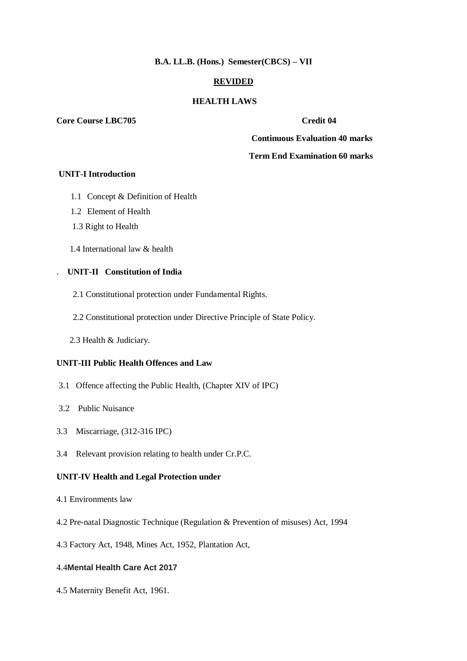#### **B.A. LL.B. (Hons.) Semester(CBCS) – VII**

## **REVIDED**

### **HEALTH LAWS**

#### **Core Course LBC705** Credit 04

 **Continuous Evaluation 40 marks**

### **Term End Examination 60 marks**

#### **UNIT-I Introduction**

- 1.1 Concept & Definition of Health
- 1.2 Element of Health
- 1.3 Right to Health
- 1.4 International law & health

# . **UNIT-II Constitution of India**

- 2.1 Constitutional protection under Fundamental Rights.
- 2.2 Constitutional protection under Directive Principle of State Policy.
- 2.3 Health & Judiciary.

### **UNIT-III Public Health Offences and Law**

- 3.1 Offence affecting the Public Health, (Chapter XIV of IPC)
- 3.2 Public Nuisance
- 3.3 Miscarriage, (312-316 IPC)
- 3.4 Relevant provision relating to health under Cr.P.C.

# **UNIT-IV Health and Legal Protection under**

- 4.1 Environments law
- 4.2 Pre-natal Diagnostic Technique (Regulation & Prevention of misuses) Act, 1994
- 4.3 Factory Act, 1948, Mines Act, 1952, Plantation Act,

# 4.4**Mental Health Care Act 2017**

4.5 Maternity Benefit Act, 1961.